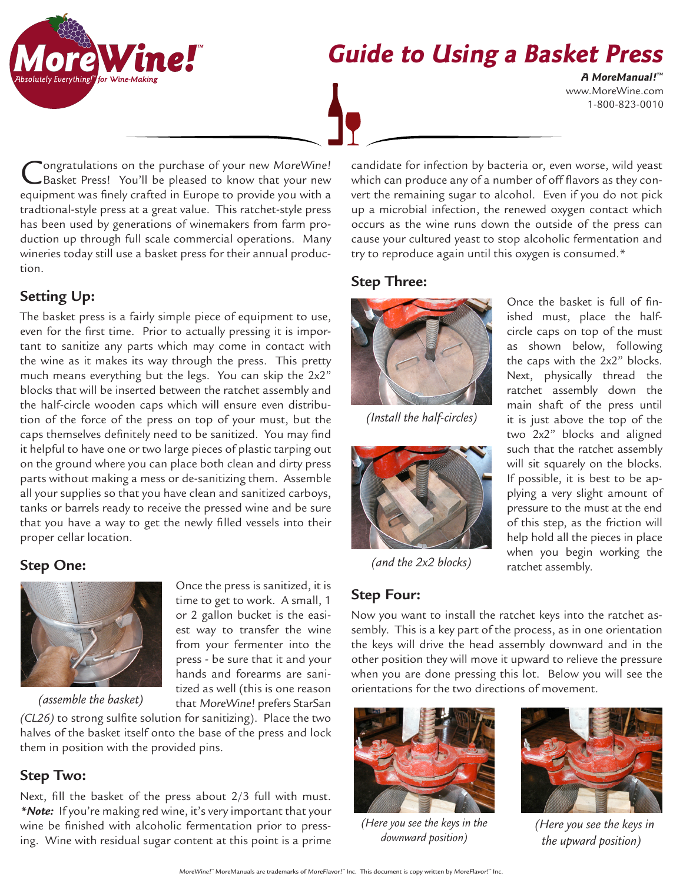

# **Guide to Using a Basket Press**

www.MoreWine.com 1-800-823-0010 **A MoreManual! ™**

ongratulations on the purchase of your new MoreWine! Basket Press! You'll be pleased to know that your new equipment was finely crafted in Europe to provide you with a tradtional-style press at a great value. This ratchet-style press has been used by generations of winemakers from farm production up through full scale commercial operations. Many wineries today still use a basket press for their annual production.

# **Setting Up:**

The basket press is a fairly simple piece of equipment to use, even for the first time. Prior to actually pressing it is important to sanitize any parts which may come in contact with the wine as it makes its way through the press. This pretty much means everything but the legs. You can skip the 2x2" blocks that will be inserted between the ratchet assembly and the half-circle wooden caps which will ensure even distribution of the force of the press on top of your must, but the caps themselves definitely need to be sanitized. You may find it helpful to have one or two large pieces of plastic tarping out on the ground where you can place both clean and dirty press parts without making a mess or de-sanitizing them. Assemble all your supplies so that you have clean and sanitized carboys, tanks or barrels ready to receive the pressed wine and be sure that you have a way to get the newly filled vessels into their proper cellar location.

# **Step One:**



*(assemble the basket)*

*(CL26)* to strong sulfite solution for sanitizing). Place the two halves of the basket itself onto the base of the press and lock them in position with the provided pins.

Once the press is sanitized, it is time to get to work. A small, 1 or 2 gallon bucket is the easiest way to transfer the wine from your fermenter into the press - be sure that it and your hands and forearms are sanitized as well (this is one reason that MoreWine! prefers StarSan

## **Step Two:**

Next, fill the basket of the press about 2/3 full with must. *\*Note:* If you're making red wine, it's very important that your wine be finished with alcoholic fermentation prior to pressing. Wine with residual sugar content at this point is a prime

candidate for infection by bacteria or, even worse, wild yeast which can produce any of a number of off flavors as they convert the remaining sugar to alcohol. Even if you do not pick up a microbial infection, the renewed oxygen contact which occurs as the wine runs down the outside of the press can cause your cultured yeast to stop alcoholic fermentation and try to reproduce again until this oxygen is consumed.\*

## **Step Three:**



*(Install the half-circles)*



*(and the 2x2 blocks)* 

**Step Four:**

Once the basket is full of finished must, place the halfcircle caps on top of the must as shown below, following the caps with the 2x2" blocks. Next, physically thread the ratchet assembly down the main shaft of the press until it is just above the top of the two 2x2" blocks and aligned such that the ratchet assembly will sit squarely on the blocks. If possible, it is best to be applying a very slight amount of pressure to the must at the end of this step, as the friction will help hold all the pieces in place when you begin working the ratchet assembly.

Now you want to install the ratchet keys into the ratchet assembly. This is a key part of the process, as in one orientation the keys will drive the head assembly downward and in the other position they will move it upward to relieve the pressure when you are done pressing this lot. Below you will see the orientations for the two directions of movement.



*(Here you see the keys in the downward position)*



 *(Here you see the keys in the upward position)*